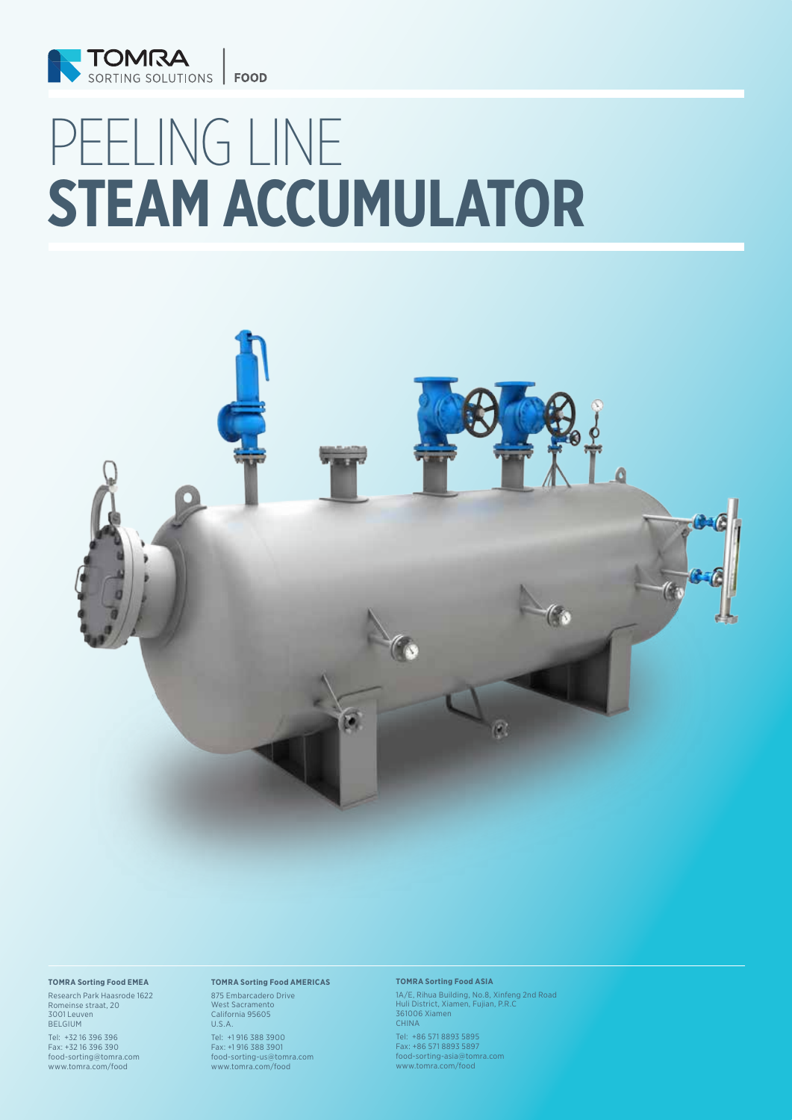

# PEELING LINE **STEAM ACCUMULATOR**



#### **TOMRA Sorting Food EMEA**

Research Park Haasrode 1622 Romeinse straat, 20 3001 Leuven BELGIUM

Tel: +32 16 396 396 Fax: +32 16 396 390 food-sorting@tomra.com www.tomra.com/food

### **TOMRA Sorting Food AMERICAS**

875 Embarcadero Drive West Sacramento California 95605 U.S.A.

Tel: +1 916 388 3900 Fax: +1 916 388 3901 food-sorting-us@tomra.com www.tomra.com/food

### **TOMRA Sorting Food ASIA**

1A/E, Rihua Building, No.8, Xinfeng 2nd Road Huli District, Xiamen, Fujian, P.R.C 361006 Xiamen CHINA

Tel: +86 571 8893 5895 Fax: +86 571 8893 5897 food-sorting-asia@tomra.com www.tomra.com/food